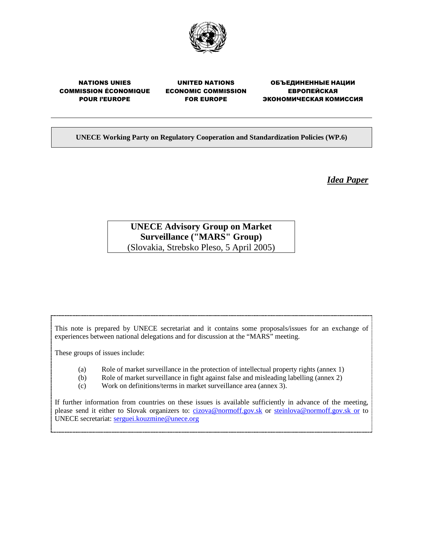

# NATIONS UNIES COMMISSION ÉCONOMIQUE POUR l'EUROPE

UNITED NATIONS ECONOMIC COMMISSION FOR EUROPE

ОБЪЕДИНЕННЫЕ НАЦИИ ЕВРОПЕЙСКАЯ ЭКОНОМИЧЕСКАЯ КОМИССИЯ

**UNECE Working Party on Regulatory Cooperation and Standardization Policies (WP.6)** 

*Idea Paper*

# **UNECE Advisory Group on Market Surveillance ("MARS" Group)**  (Slovakia, Strebsko Pleso, 5 April 2005)

This note is prepared by UNECE secretariat and it contains some proposals/issues for an exchange of experiences between national delegations and for discussion at the "MARS" meeting.

These groups of issues include:

- (a) Role of market surveillance in the protection of intellectual property rights (annex 1)
- (b) Role of market surveillance in fight against false and misleading labelling (annex 2)
- (c) Work on definitions/terms in market surveillance area (annex 3).

If further information from countries on these issues is available sufficiently in advance of the meeting, please send it either to Slovak organizers to: cizova@normoff.gov.sk or steinlova@normoff.gov.sk or to UNECE secretariat: serguei.kouzmine@unece.org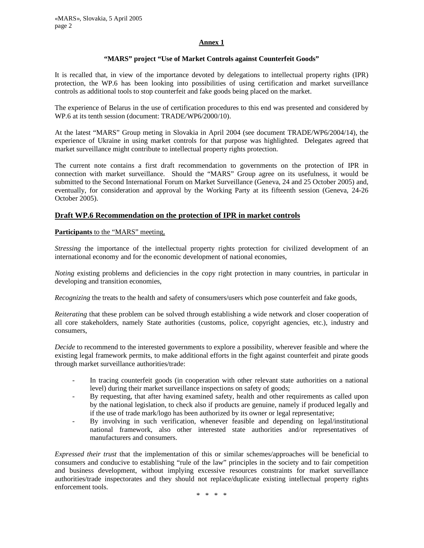## **Annex 1**

## **"MARS" project "Use of Market Controls against Counterfeit Goods"**

It is recalled that, in view of the importance devoted by delegations to intellectual property rights (IPR) protection, the WP.6 has been looking into possibilities of using certification and market surveillance controls as additional tools to stop counterfeit and fake goods being placed on the market.

The experience of Belarus in the use of certification procedures to this end was presented and considered by WP.6 at its tenth session (document: TRADE/WP6/2000/10).

At the latest "MARS" Group meting in Slovakia in April 2004 (see document TRADE/WP6/2004/14), the experience of Ukraine in using market controls for that purpose was highlighted. Delegates agreed that market surveillance might contribute to intellectual property rights protection.

The current note contains a first draft recommendation to governments on the protection of IPR in connection with market surveillance. Should the "MARS" Group agree on its usefulness, it would be submitted to the Second International Forum on Market Surveillance (Geneva, 24 and 25 October 2005) and, eventually, for consideration and approval by the Working Party at its fifteenth session (Geneva, 24-26 October 2005).

# **Draft WP.6 Recommendation on the protection of IPR in market controls**

#### **Participants** to the "MARS" meeting,

*Stressing* the importance of the intellectual property rights protection for civilized development of an international economy and for the economic development of national economies,

*Noting* existing problems and deficiencies in the copy right protection in many countries, in particular in developing and transition economies,

*Recognizing* the treats to the health and safety of consumers/users which pose counterfeit and fake goods,

*Reiterating* that these problem can be solved through establishing a wide network and closer cooperation of all core stakeholders, namely State authorities (customs, police, copyright agencies, etc.), industry and consumers,

*Decide* to recommend to the interested governments to explore a possibility, wherever feasible and where the existing legal framework permits, to make additional efforts in the fight against counterfeit and pirate goods through market surveillance authorities/trade:

- In tracing counterfeit goods (in cooperation with other relevant state authorities on a national level) during their market surveillance inspections on safety of goods;
- By requesting, that after having examined safety, health and other requirements as called upon by the national legislation, to check also if products are genuine, namely if produced legally and if the use of trade mark/logo has been authorized by its owner or legal representative;
- By involving in such verification, whenever feasible and depending on legal/institutional national framework, also other interested state authorities and/or representatives of manufacturers and consumers.

*Expressed their trust* that the implementation of this or similar schemes/approaches will be beneficial to consumers and conducive to establishing "rule of the law" principles in the society and to fair competition and business development, without implying excessive resources constraints for market surveillance authorities/trade inspectorates and they should not replace/duplicate existing intellectual property rights enforcement tools.

\* \* \* \*